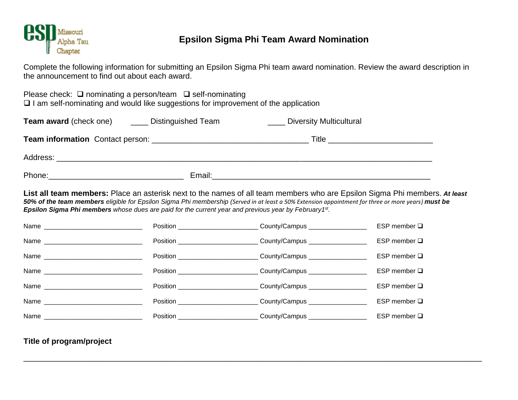

## **Epsilon Sigma Phi Team Award Nomination**

Complete the following information for submitting an Epsilon Sigma Phi team award nomination. Review the award description in the announcement to find out about each award.

Please check: ❑ nominating a person/team ❑ self-nominating ❑ I am self-nominating and would like suggestions for improvement of the application

| <b>Team award (check one)</b> | Distinguished Team | <b>Diversity Multicultural</b> |  |
|-------------------------------|--------------------|--------------------------------|--|
|                               |                    | Title                          |  |
|                               |                    |                                |  |
| Phone:                        | Email:             |                                |  |

**List all team members:** Place an asterisk next to the names of all team members who are Epsilon Sigma Phi members. *At least 50% of the team members eligible for Epsilon Sigma Phi membership (Served in at least a 50% Extension appointment for three or more years) must be*  **Epsilon Sigma Phi members** whose dues are paid for the current year and previous year by February1<sup>st</sup>.

\_\_\_\_\_\_\_\_\_\_\_\_\_\_\_\_\_\_\_\_\_\_\_\_\_\_\_\_\_\_\_\_\_\_\_\_\_\_\_\_\_\_\_\_\_\_\_\_\_\_\_\_\_\_\_\_\_\_\_\_\_\_\_\_\_\_\_\_\_\_\_\_\_\_\_\_\_\_\_\_\_\_\_\_\_\_\_\_\_\_\_\_\_\_\_\_\_\_\_\_\_\_\_\_\_

| Position ____________________________ | County/Campus __________________ | ESP member $\square$ |
|---------------------------------------|----------------------------------|----------------------|
| Position ________________________     | County/Campus __________________ | ESP member $\square$ |
| Position ________________________     | County/Campus __________________ | ESP member $\square$ |
| Position ____________________________ | County/Campus __________________ | ESP member $\square$ |
| Position _________________________    | County/Campus __________________ | ESP member $\square$ |
| Position __________________________   | County/Campus __________________ | ESP member $\square$ |
| Position ___________________________  | County/Campus __________________ | ESP member $\square$ |

**Title of program/project**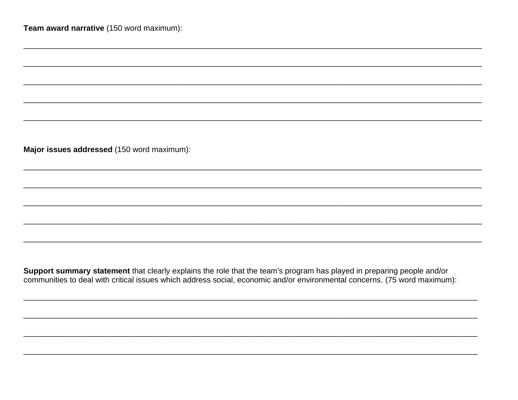| Team award narrative (150 word maximum): |  |
|------------------------------------------|--|
|------------------------------------------|--|

Major issues addressed (150 word maximum):

Support summary statement that clearly explains the role that the team's program has played in preparing people and/or communities to deal with critical issues which address social, economic and/or environmental concerns. (75 word maximum):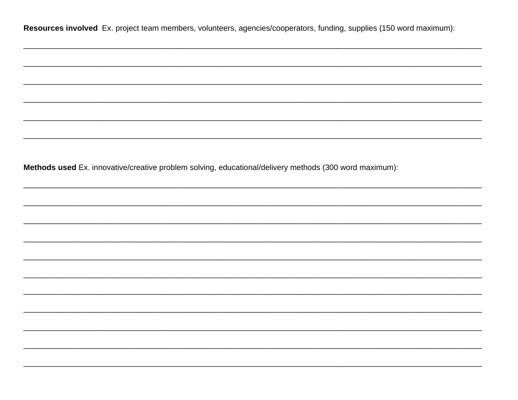Resources involved Ex. project team members, volunteers, agencies/cooperators, funding, supplies (150 word maximum):

| Methods used Ex. innovative/creative problem solving, educational/delivery methods (300 word maximum): |  |
|--------------------------------------------------------------------------------------------------------|--|
|                                                                                                        |  |
|                                                                                                        |  |
|                                                                                                        |  |
|                                                                                                        |  |
|                                                                                                        |  |
|                                                                                                        |  |
|                                                                                                        |  |
|                                                                                                        |  |
|                                                                                                        |  |
|                                                                                                        |  |
|                                                                                                        |  |